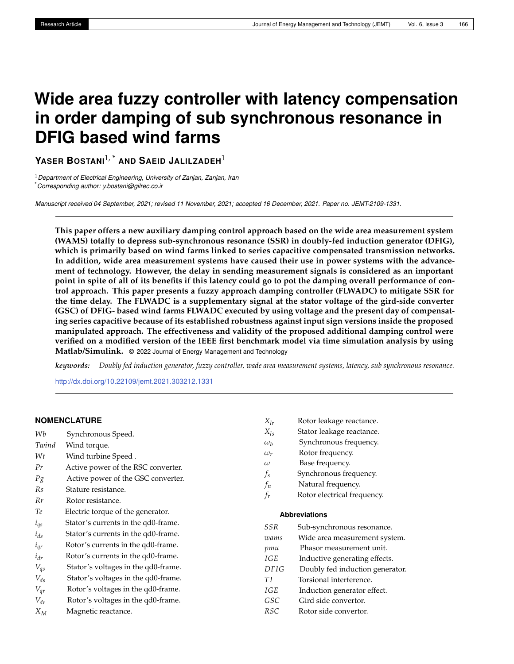# **Wide area fuzzy controller with latency compensation in order damping of sub synchronous resonance in DFIG based wind farms**

**YASER BOSTANI**1, \* **AND SAEID JALILZADEH**<sup>1</sup>

<sup>1</sup>*Department of Electrical Engineering, University of Zanjan, Zanjan, Iran* \**Corresponding author: y.bostani@gilrec.co.ir*

*Manuscript received 04 September, 2021; revised 11 November, 2021; accepted 16 December, 2021. Paper no. JEMT-2109-1331.*

**This paper offers a new auxiliary damping control approach based on the wide area measurement system (WAMS) totally to depress sub-synchronous resonance (SSR) in doubly-fed induction generator (DFIG), which is primarily based on wind farms linked to series capacitive compensated transmission networks. In addition, wide area measurement systems have caused their use in power systems with the advancement of technology. However, the delay in sending measurement signals is considered as an important point in spite of all of its benefits if this latency could go to pot the damping overall performance of control approach. This paper presents a fuzzy approach damping controller (FLWADC) to mitigate SSR for the time delay. The FLWADC is a supplementary signal at the stator voltage of the gird-side converter (GSC) of DFIG- based wind farms FLWADC executed by using voltage and the present day of compensating series capacitive because of its established robustness against input sign versions inside the proposed manipulated approach. The effectiveness and validity of the proposed additional damping control were verified on a modified version of the IEEE first benchmark model via time simulation analysis by using Matlab/Simulink.** © 2022 Journal of Energy Management and Technology

*keywords: Doubly fed induction generator, fuzzy controller, wade area measurement systems, latency, sub synchronous resonance.*

<http://dx.doi.org/10.22109/jemt.2021.303212.1331>

## **NOMENCLATURE**

| Wb                | Synchronous Speed.                  |
|-------------------|-------------------------------------|
| Twind             | Wind torque.                        |
| Wt                | Wind turbine Speed.                 |
| Pr                | Active power of the RSC converter.  |
| $P_{\mathcal{S}}$ | Active power of the GSC converter.  |
| Rs                | Stature resistance.                 |
| Rr                | Rotor resistance.                   |
| Тe                | Electric torque of the generator.   |
| $l_{qs}$          | Stator's currents in the qd0-frame. |
| $i_{ds}$          | Stator's currents in the qd0-frame. |
| $l_{qr}$          | Rotor's currents in the qd0-frame.  |
| $i_{dr}$          | Rotor's currents in the qd0-frame.  |
| $V_{qs}$          | Stator's voltages in the qd0-frame. |
| $V_{ds}$          | Stator's voltages in the qd0-frame. |
| $V_{qr}$          | Rotor's voltages in the qd0-frame.  |
| $V_{dr}$          | Rotor's voltages in the qd0-frame.  |
| $X_M$             | Magnetic reactance.                 |

- $X_{lr}$  Rotor leakage reactance.<br> $X_{lc}$  Stator leakage reactance.
- *Stator leakage reactance.*
- *ω<sup>b</sup>* Synchronous frequency.
- *ωr* Rotor frequency.
- *ω* Base frequency.
- *fs* Synchronous frequency.
- *fn* Natural frequency.
- *fr* Rotor electrical frequency.

#### **Abbreviations**

| SSR         | Sub-synchronous resonance.      |
|-------------|---------------------------------|
| wams        | Wide area measurement system.   |
| pmu         | Phasor measurement unit.        |
| <b>IGE</b>  | Inductive generating effects.   |
| <b>DFIG</b> | Doubly fed induction generator. |
| TΙ          | Torsional interference.         |
| IGE         | Induction generator effect.     |
| GSC         | Gird side convertor.            |
| <b>RSC</b>  | Rotor side convertor.           |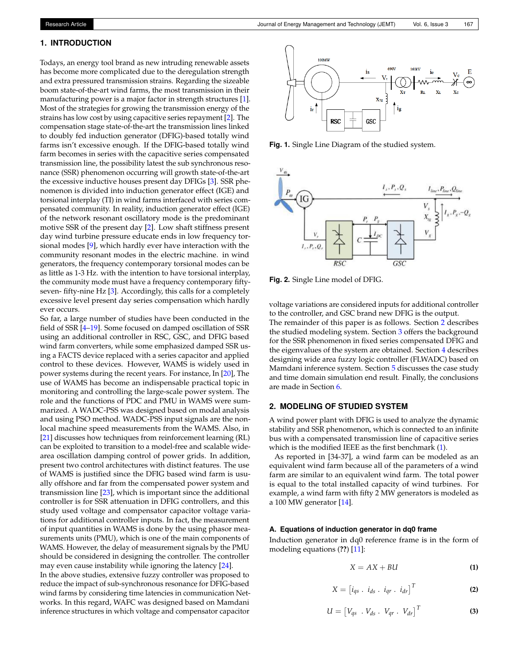# **1. INTRODUCTION**

Todays, an energy tool brand as new intruding renewable assets has become more complicated due to the deregulation strength and extra pressured transmission strains. Regarding the sizeable boom state-of-the-art wind farms, the most transmission in their manufacturing power is a major factor in strength structures [\[1\]](#page-8-0). Most of the strategies for growing the transmission energy of the strains has low cost by using capacitive series repayment [\[2\]](#page-8-1). The compensation stage state-of-the-art the transmission lines linked to doubly fed induction generator (DFIG)-based totally wind farms isn't excessive enough. If the DFIG-based totally wind farm becomes in series with the capacitive series compensated transmission line, the possibility latest the sub synchronous resonance (SSR) phenomenon occurring will growth state-of-the-art the excessive inductive houses present day DFIGs [\[3\]](#page-8-2). SSR phenomenon is divided into induction generator effect (IGE) and torsional interplay (TI) in wind farms interfaced with series compensated community. In reality, induction generator effect (IGE) of the network resonant oscillatory mode is the predominant motive SSR of the present day [\[2\]](#page-8-1). Low shaft stiffness present day wind turbine pressure educate ends in low frequency torsional modes [\[9\]](#page-8-3), which hardly ever have interaction with the community resonant modes in the electric machine. in wind generators, the frequency contemporary torsional modes can be as little as 1-3 Hz. with the intention to have torsional interplay, the community mode must have a frequency contemporary fiftyseven- fifty-nine Hz [\[3\]](#page-8-2). Accordingly, this calls for a completely excessive level present day series compensation which hardly ever occurs.

So far, a large number of studies have been conducted in the field of SSR [\[4](#page-8-4)[–19\]](#page-8-5). Some focused on damped oscillation of SSR using an additional controller in RSC, GSC, and DFIG based wind farm converters, while some emphasized damped SSR using a FACTS device replaced with a series capacitor and applied control to these devices. However, WAMS is widely used in power systems during the recent years. For instance, In [\[20\]](#page-8-6), The use of WAMS has become an indispensable practical topic in monitoring and controlling the large-scale power system. The role and the functions of PDC and PMU in WAMS were summarized. A WADC-PSS was designed based on modal analysis and using PSO method. WADC-PSS input signals are the nonlocal machine speed measurements from the WAMS. Also, in [\[21\]](#page-8-7) discusses how techniques from reinforcement learning (RL) can be exploited to transition to a model-free and scalable widearea oscillation damping control of power grids. In addition, present two control architectures with distinct features. The use of WAMS is justified since the DFIG based wind farm is usually offshore and far from the compensated power system and transmission line [\[23\]](#page-9-0), which is important since the additional controller is for SSR attenuation in DFIG controllers, and this study used voltage and compensator capacitor voltage variations for additional controller inputs. In fact, the measurement of input quantities in WAMS is done by the using phasor measurements units (PMU), which is one of the main components of WAMS. However, the delay of measurement signals by the PMU should be considered in designing the controller. The controller may even cause instability while ignoring the latency [\[24\]](#page-9-1).

In the above studies, extensive fuzzy controller was proposed to reduce the impact of sub-synchronous resonance for DFIG-based wind farms by considering time latencies in communication Networks. In this regard, WAFC was designed based on Mamdani inference structures in which voltage and compensator capacitor

<span id="page-1-1"></span>100MW E  $\frac{1}{2}$ **RSC** GSC

**Fig. 1.** Single Line Diagram of the studied system.

<span id="page-1-2"></span>

**Fig. 2.** Single Line model of DFIG.

voltage variations are considered inputs for additional controller to the controller, and GSC brand new DFIG is the output.

The remainder of this paper is as follows. Section [2](#page-1-0) describes the studied modeling system. Section [3](#page-3-0) offers the background for the SSR phenomenon in fixed series compensated DFIG and the eigenvalues of the system are obtained. Section [4](#page-4-0) describes designing wide area fuzzy logic controller (FLWADC) based on Mamdani inference system. Section [5](#page-6-0) discusses the case study and time domain simulation end result. Finally, the conclusions are made in Section [6.](#page-7-0)

## <span id="page-1-0"></span>**2. MODELING OF STUDIED SYSTEM**

A wind power plant with DFIG is used to analyze the dynamic stability and SSR phenomenon, which is connected to an infinite bus with a compensated transmission line of capacitive series which is the modified IEEE as the first benchmark [\(1\)](#page-1-1).

As reported in [34-37], a wind farm can be modeled as an equivalent wind farm because all of the parameters of a wind farm are similar to an equivalent wind farm. The total power is equal to the total installed capacity of wind turbines. For example, a wind farm with fifty 2 MW generators is modeled as a 100 MW generator [\[14\]](#page-8-8).

## **A. Equations of induction generator in dq0 frame**

Induction generator in dq0 reference frame is in the form of modeling equations (**??**) [\[11\]](#page-8-9):

$$
X = AX + BU
$$
 (1)

$$
X = \begin{bmatrix} i_{qs} & i_{ds} & i_{qr} & i_{dr} \end{bmatrix}^T
$$
 (2)

$$
U = \begin{bmatrix} V_{qs} & V_{ds} & V_{qr} & V_{dr} \end{bmatrix}^T
$$
 (3)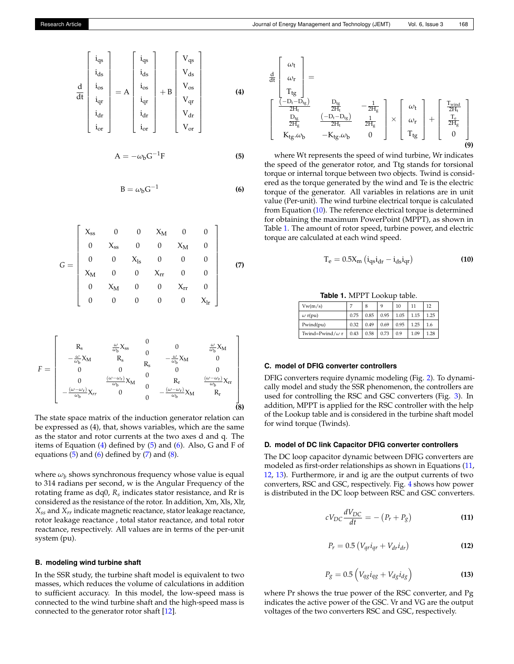<span id="page-2-0"></span>d dt iqs ids ios iqr idr ior = A iqs ids ios iqr idr ior + B Vqs Vds Vos Vqr Vdr Vor **(4)**

<span id="page-2-1"></span>
$$
A = -\omega_b G^{-1} F
$$
 (5)

<span id="page-2-2"></span>
$$
B = \omega_b G^{-1}
$$
 (6)

<span id="page-2-3"></span>
$$
G = \begin{bmatrix} X_{ss} & 0 & 0 & X_M & 0 & 0 \\ 0 & X_{ss} & 0 & 0 & X_M & 0 \\ 0 & 0 & X_{ls} & 0 & 0 & 0 \\ X_M & 0 & 0 & X_{rr} & 0 & 0 \\ 0 & X_M & 0 & 0 & X_{rr} & 0 \\ 0 & 0 & 0 & 0 & 0 & X_{lr} \end{bmatrix}
$$
(7)

<span id="page-2-4"></span>
$$
F = \begin{bmatrix} & R_s & \frac{\omega}{\omega_b} X_{ss} & 0 & 0 & \frac{\omega}{\omega_b} X_M \\ -\frac{\omega}{\omega_b} X_M & R_s & 0 & -\frac{\omega}{\omega_b} X_M & 0 \\ 0 & 0 & R_s & 0 & 0 \\ 0 & \frac{(\omega - \omega_r)}{\omega_b} X_M & 0 & R_r & \frac{(\omega - \omega_r)}{\omega_b} X_{rr} \\ -\frac{(\omega - \omega_r)}{\omega_b} X_{rr} & 0 & 0 & -\frac{(\omega - \omega_r)}{\omega_b} X_M & R_r \\ 0 & 0 & 0 & 0 & 0 \end{bmatrix}
$$

The state space matrix of the induction generator relation can be expressed as (4), that, shows variables, which are the same as the stator and rotor currents at the two axes d and q. The items of Equation [\(4\)](#page-2-0) defined by [\(5\)](#page-2-1) and [\(6\)](#page-2-2). Also, G and F of equations  $(5)$  and  $(6)$  defined by  $(7)$  and  $(8)$ .

where  $\omega_b$  shows synchronous frequency whose value is equal to 314 radians per second, w is the Angular Frequency of the rotating frame as dq0, *Rs* indicates stator resistance, and Rr is considered as the resistance of the rotor. In addition, Xm, Xls, Xlr, *Xss* and *Xrr* indicate magnetic reactance, stator leakage reactance, rotor leakage reactance , total stator reactance, and total rotor reactance, respectively. All values are in terms of the per-unit system (pu).

## **B. modeling wind turbine shaft**

In the SSR study, the turbine shaft model is equivalent to two masses, which reduces the volume of calculations in addition to sufficient accuracy. In this model, the low-speed mass is connected to the wind turbine shaft and the high-speed mass is connected to the generator rotor shaft [\[12\]](#page-8-10).



where Wt represents the speed of wind turbine, Wr indicates the speed of the generator rotor, and Ttg stands for torsional torque or internal torque between two objects. Twind is considered as the torque generated by the wind and Te is the electric torque of the generator. All variables in relations are in unit value (Per-unit). The wind turbine electrical torque is calculated from Equation [\(10\)](#page-2-5). The reference electrical torque is determined for obtaining the maximum PowerPoint (MPPT), as shown in Table [1.](#page-2-6) The amount of rotor speed, turbine power, and electric torque are calculated at each wind speed.

<span id="page-2-5"></span>
$$
T_e = 0.5X_m \left( i_{qs} i_{dr} - i_{ds} i_{qr} \right)
$$
 (10)

**Table 1.** MPPT Lookup table.

<span id="page-2-6"></span>

| Vw(m/s)                 | 7    | 8    | 9    | 10   | 11   | 12   |  |
|-------------------------|------|------|------|------|------|------|--|
| $\omega$ r(pu)          | 0.75 | 0.85 | 0.95 | 1.05 | 1.15 | 1.25 |  |
| Pwind(pu)               | 0.32 | 0.49 | 0.69 | 0.95 | 1.25 | 1.6  |  |
| Twind=Pwind/ $\omega$ r | 0.43 | 0.58 | 0.73 | 0.9  | 1.09 | 1.28 |  |

## **C. model of DFIG converter controllers**

DFIG converters require dynamic modeling (Fig. [2\)](#page-1-2). To dynamically model and study the SSR phenomenon, the controllers are used for controlling the RSC and GSC converters (Fig. [3\)](#page-3-1). In addition, MPPT is applied for the RSC controller with the help of the Lookup table and is considered in the turbine shaft model for wind torque (Twinds).

## **D. model of DC link Capacitor DFIG converter controllers**

The DC loop capacitor dynamic between DFIG converters are modeled as first-order relationships as shown in Equations [\(11,](#page-2-7) [12,](#page-2-8) [13\)](#page-2-9). Furthermore, ir and ig are the output currents of two converters, RSC and GSC, respectively. Fig. [4](#page-3-2) shows how power is distributed in the DC loop between RSC and GSC converters.

<span id="page-2-7"></span>
$$
cV_{DC}\frac{dV_{DC}}{dt} = -\left(P_r + P_g\right) \tag{11}
$$

<span id="page-2-8"></span>
$$
P_r = 0.5 \left( V_{qr} i_{qr} + V_{dr} i_{dr} \right) \tag{12}
$$

<span id="page-2-9"></span>
$$
P_g = 0.5 \left( V_{qg} i_{qg} + V_{dg} i_{dg} \right) \tag{13}
$$

where Pr shows the true power of the RSC converter, and Pg indicates the active power of the GSC. Vr and VG are the output voltages of the two converters RSC and GSC, respectively.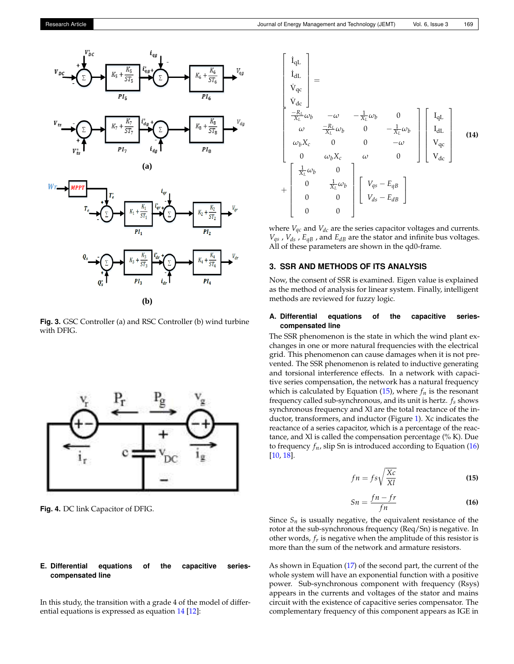<span id="page-3-1"></span>





**Fig. 3.** GSC Controller (a) and RSC Controller (b) wind turbine with DFIG.

<span id="page-3-2"></span>

**Fig. 4.** DC link Capacitor of DFIG.

## **E. Differential equations of the capacitive seriescompensated line**

In this study, the transition with a grade 4 of the model of differential equations is expressed as equation [14](#page-3-3) [\[12\]](#page-8-10):

<span id="page-3-3"></span>
$$
\begin{bmatrix}\n\dot{I}_{qL} \\
\dot{I}_{dL} \\
\dot{V}_{qc} \\
\dot{V}_{dc} \\
\frac{-R_L}{X_L}\omega_b & -\omega & -\frac{1}{X_L}\omega_b & 0 \\
\omega & \frac{-R_L}{X_L}\omega_b & 0 & -\frac{1}{X_L}\omega_b \\
\omega_b X_c & 0 & 0 & -\omega \\
0 & \omega_b X_c & \omega & 0\n\end{bmatrix}\n\begin{bmatrix}\nI_{qL} \\
I_{dL} \\
V_{qc} \\
V_{qc}\n\end{bmatrix}
$$
\n(14)  
\n
$$
+\n\begin{bmatrix}\n\frac{1}{X_L}\omega_b & 0 & \frac{1}{X_L}\omega_b \\
0 & \frac{1}{X_L}\omega_b & 0 \\
0 & 0 & 0\n\end{bmatrix}\n\begin{bmatrix}\nV_{qs} - E_{qB} \\
V_{ds} - E_{dB}\n\end{bmatrix}
$$

where  $V_{qc}$  and  $V_{dc}$  are the series capacitor voltages and currents.  $V_{qs}$ ,  $V_{ds}$ ,  $E_{qB}$ , and  $E_{dB}$  are the stator and infinite bus voltages. All of these parameters are shown in the qd0-frame.

#### <span id="page-3-0"></span>**3. SSR AND METHODS OF ITS ANALYSIS**

Now, the consent of SSR is examined. Eigen value is explained as the method of analysis for linear system. Finally, intelligent methods are reviewed for fuzzy logic.

#### **A. Differential equations of the capacitive seriescompensated line**

The SSR phenomenon is the state in which the wind plant exchanges in one or more natural frequencies with the electrical grid. This phenomenon can cause damages when it is not prevented. The SSR phenomenon is related to inductive generating and torsional interference effects. In a network with capacitive series compensation, the network has a natural frequency which is calculated by Equation  $(15)$ , where  $f_n$  is the resonant frequency called sub-synchronous, and its unit is hertz. *fs* shows synchronous frequency and Xl are the total reactance of the inductor, transformers, and inductor (Figure [1\)](#page-1-1). Xc indicates the reactance of a series capacitor, which is a percentage of the reactance, and Xl is called the compensation percentage (% K). Due to frequency  $f_n$ , slip Sn is introduced according to Equation  $(16)$ [\[10,](#page-8-11) [18\]](#page-8-12).

<span id="page-3-4"></span>
$$
fn = fs\sqrt{\frac{Xc}{XI}}
$$
 (15)

<span id="page-3-5"></span>
$$
Sn = \frac{fn - fr}{fn} \tag{16}
$$

Since  $S_n$  is usually negative, the equivalent resistance of the rotor at the sub-synchronous frequency (Req/Sn) is negative. In other words, *fr* is negative when the amplitude of this resistor is more than the sum of the network and armature resistors.

As shown in Equation [\(17\)](#page-4-1) of the second part, the current of the whole system will have an exponential function with a positive power. Sub-synchronous component with frequency (Rsys) appears in the currents and voltages of the stator and mains circuit with the existence of capacitive series compensator. The complementary frequency of this component appears as IGE in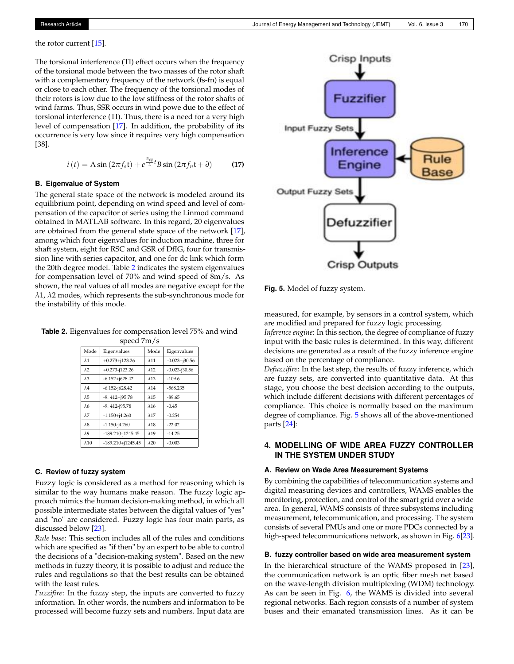the rotor current [\[15\]](#page-8-13).

The torsional interference (TI) effect occurs when the frequency of the torsional mode between the two masses of the rotor shaft with a complementary frequency of the network (fs-fn) is equal or close to each other. The frequency of the torsional modes of their rotors is low due to the low stiffness of the rotor shafts of wind farms. Thus, SSR occurs in wind powe due to the effect of torsional interference (TI). Thus, there is a need for a very high level of compensation [\[17\]](#page-8-14). In addition, the probability of its occurrence is very low since it requires very high compensation [38].

<span id="page-4-1"></span>
$$
i(t) = A\sin\left(2\pi f_s t\right) + e^{\frac{Req}{L}t} B\sin\left(2\pi f_n t + \partial\right)
$$
 (17)

#### **B. Eigenvalue of System**

The general state space of the network is modeled around its equilibrium point, depending on wind speed and level of compensation of the capacitor of series using the Linmod command obtained in MATLAB software. In this regard, 20 eigenvalues are obtained from the general state space of the network [\[17\]](#page-8-14), among which four eigenvalues for induction machine, three for shaft system, eight for RSC and GSR of DfIG, four for transmission line with series capacitor, and one for dc link which form the 20th degree model. Table [2](#page-4-2) indicates the system eigenvalues for compensation level of 70% and wind speed of 8m/s. As shown, the real values of all modes are negative except for the *λ*1, *λ*2 modes, which represents the sub-synchronous mode for the instability of this mode.

<span id="page-4-2"></span>**Table 2.** Eigenvalues for compensation level 75% and wind speed 7m/s

| Mode                   | Eigenvalues           | Mode         | Eigenvalues       |
|------------------------|-----------------------|--------------|-------------------|
| $\lambda$ 1            | $+0.273 + 123.26$     | $\lambda$ 11 | $-0.023 + j30.56$ |
| $\lambda$ 2            | $+0.273 - i123.26$    | $\lambda$ 12 | $-0.023 - j30.56$ |
| $\lambda$ <sub>3</sub> | $-6.152 + j628.42$    | $\lambda$ 13 | $-109.6$          |
| $\lambda$ 4            | $-6.152 - j628.42$    | $\lambda$ 14 | $-568.235$        |
| $\lambda$ 5            | $-9.412 + j95.78$     | $\lambda$ 15 | $-89.65$          |
| $\lambda$ 6            | $-9.412 - i95.78$     | $\lambda$ 16 | $-0.45$           |
| $\lambda$ 7            | $-1.150 + j4.260$     | $\lambda$ 17 | $-0.254$          |
| $\lambda$ 8            | $-1.150 - i4.260$     | $\lambda$ 18 | $-22.02$          |
| $\lambda$ 9            | $-189.210 - 1245.45$  | $\lambda$ 19 | $-14.25$          |
| $\lambda$ 10           | $-189.210 + j1245.45$ | $\lambda$ 20 | $-0.003$          |

#### **C. Review of fuzzy system**

Fuzzy logic is considered as a method for reasoning which is similar to the way humans make reason. The fuzzy logic approach mimics the human decision-making method, in which all possible intermediate states between the digital values of "yes" and "no" are considered. Fuzzy logic has four main parts, as discussed below [\[23\]](#page-9-0).

*Rule base*: This section includes all of the rules and conditions which are specified as "if then" by an expert to be able to control the decisions of a "decision-making system". Based on the new methods in fuzzy theory, it is possible to adjust and reduce the rules and regulations so that the best results can be obtained with the least rules.

*Fuzzifire*: In the fuzzy step, the inputs are converted to fuzzy information. In other words, the numbers and information to be processed will become fuzzy sets and numbers. Input data are

<span id="page-4-3"></span>

**Fig. 5.** Model of fuzzy system.

measured, for example, by sensors in a control system, which are modified and prepared for fuzzy logic processing.

*Inference engine*: In this section, the degree of compliance of fuzzy input with the basic rules is determined. In this way, different decisions are generated as a result of the fuzzy inference engine based on the percentage of compliance.

*Defuzzifire*: In the last step, the results of fuzzy inference, which are fuzzy sets, are converted into quantitative data. At this stage, you choose the best decision according to the outputs, which include different decisions with different percentages of compliance. This choice is normally based on the maximum degree of compliance. Fig. [5](#page-4-3) shows all of the above-mentioned parts [\[24\]](#page-9-1):

# <span id="page-4-0"></span>**4. MODELLING OF WIDE AREA FUZZY CONTROLLER IN THE SYSTEM UNDER STUDY**

#### **A. Review on Wade Area Measurement Systems**

By combining the capabilities of telecommunication systems and digital measuring devices and controllers, WAMS enables the monitoring, protection, and control of the smart grid over a wide area. In general, WAMS consists of three subsystems including measurement, telecommunication, and processing. The system consists of several PMUs and one or more PDCs connected by a high-speed telecommunications network, as shown in Fig. [6\[](#page-5-0)[23\]](#page-9-0).

#### **B. fuzzy controller based on wide area measurement system**

In the hierarchical structure of the WAMS proposed in [\[23\]](#page-9-0), the communication network is an optic fiber mesh net based on the wave-length division multiplexing (WDM) technology. As can be seen in Fig. [6,](#page-5-0) the WAMS is divided into several regional networks. Each region consists of a number of system buses and their emanated transmission lines. As it can be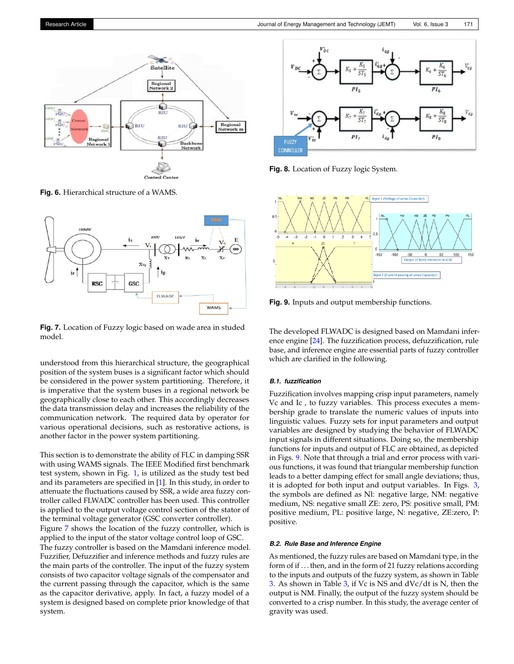<span id="page-5-0"></span>

**Fig. 6.** Hierarchical structure of a WAMS.

<span id="page-5-1"></span>

**Fig. 7.** Location of Fuzzy logic based on wade area in studed model.

understood from this hierarchical structure, the geographical position of the system buses is a significant factor which should be considered in the power system partitioning. Therefore, it is imperative that the system buses in a regional network be geographically close to each other. This accordingly decreases the data transmission delay and increases the reliability of the communication network. The required data by operator for various operational decisions, such as restorative actions, is another factor in the power system partitioning.

This section is to demonstrate the ability of FLC in damping SSR with using WAMS signals. The IEEE Modified first benchmark test system, shown in Fig. [1,](#page-1-1) is utilized as the study test bed and its parameters are specified in [\[1\]](#page-8-0). In this study, in order to attenuate the fluctuations caused by SSR, a wide area fuzzy controller called FLWADC controller has been used. This controller is applied to the output voltage control section of the stator of the terminal voltage generator (GSC converter controller). Figure [7](#page-5-1) shows the location of the fuzzy controller, which is applied to the input of the stator voltage control loop of GSC. The fuzzy controller is based on the Mamdani inference model. Fuzzifier, Defuzzifier and inference methods and fuzzy rules are the main parts of the controller. The input of the fuzzy system consists of two capacitor voltage signals of the compensator and the current passing through the capacitor, which is the same as the capacitor derivative, apply. In fact, a fuzzy model of a system is designed based on complete prior knowledge of that system.



**Fig. 8.** Location of Fuzzy logic System.

<span id="page-5-2"></span>

**Fig. 9.** Inputs and output membership functions.

The developed FLWADC is designed based on Mamdani inference engine [\[24\]](#page-9-1). The fuzzification process, defuzzification, rule base, and inference engine are essential parts of fuzzy controller which are clarified in the following.

#### *B.1. fuzzification*

Fuzzification involves mapping crisp input parameters, namely Vc and Ic , to fuzzy variables. This process executes a membership grade to translate the numeric values of inputs into linguistic values. Fuzzy sets for input parameters and output variables are designed by studying the behavior of FLWADC input signals in different situations. Doing so, the membership functions for inputs and output of FLC are obtained, as depicted in Figs. [9.](#page-5-2) Note that through a trial and error process with various functions, it was found that triangular membership function leads to a better damping effect for small angle deviations; thus, it is adopted for both input and output variables. In Figs. [3,](#page-3-1) the symbols are defined as Nl: negative large, NM: negative medium, NS: negative small ZE: zero, PS: positive small, PM: positive medium, PL: positive large, N: negative, ZE:zero, P: positive.

#### *B.2. Rule Base and Inference Engine*

As mentioned, the fuzzy rules are based on Mamdani type, in the form of if . . . then, and in the form of 21 fuzzy relations according to the inputs and outputs of the fuzzy system, as shown in Table [3.](#page-6-1) As shown in Table [3,](#page-6-1) if Vc is NS and dVc/dt is N, then the output is NM. Finally, the output of the fuzzy system should be converted to a crisp number. In this study, the average center of gravity was used.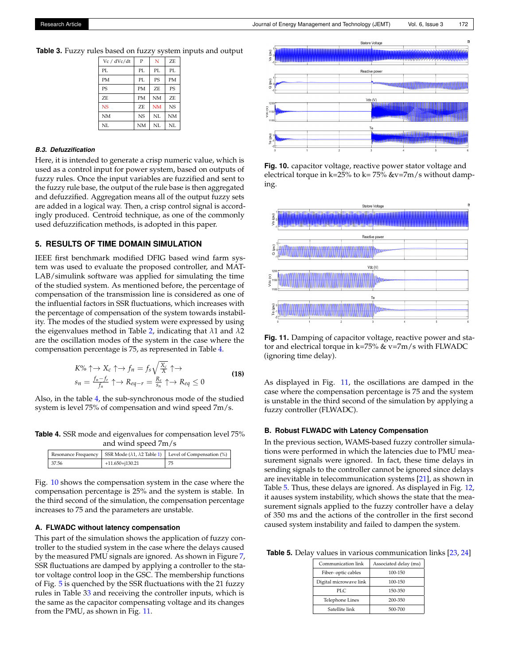<span id="page-6-1"></span>**Table 3.** Fuzzy rules based on fuzzy system inputs and output

| Vc / dVc/dt | P         | N         | ZF.            |
|-------------|-----------|-----------|----------------|
| PL          | PL.       | PI.       | PI.            |
| <b>PM</b>   | PL.       | <b>PS</b> | <b>PM</b>      |
| <b>PS</b>   | <b>PM</b> | ZF.       | <b>PS</b>      |
| ZF.         | <b>PM</b> | <b>NM</b> | ZF.            |
| <b>NS</b>   | ZF.       | <b>NM</b> | N <sub>S</sub> |
| <b>NM</b>   | <b>NS</b> | NI.       | <b>NM</b>      |
| NI.         | <b>NM</b> | NI.       | NI.            |

#### *B.3. Defuzzification*

Here, it is intended to generate a crisp numeric value, which is used as a control input for power system, based on outputs of fuzzy rules. Once the input variables are fuzzified and sent to the fuzzy rule base, the output of the rule base is then aggregated and defuzzified. Aggregation means all of the output fuzzy sets are added in a logical way. Then, a crisp control signal is accordingly produced. Centroid technique, as one of the commonly used defuzzification methods, is adopted in this paper.

## <span id="page-6-0"></span>**5. RESULTS OF TIME DOMAIN SIMULATION**

IEEE first benchmark modified DFIG based wind farm system was used to evaluate the proposed controller, and MAT-LAB/simulink software was applied for simulating the time of the studied system. As mentioned before, the percentage of compensation of the transmission line is considered as one of the influential factors in SSR fluctuations, which increases with the percentage of compensation of the system towards instability. The modes of the studied system were expressed by using the eigenvalues method in Table [2,](#page-4-2) indicating that *λ*1 and *λ*2 are the oscillation modes of the system in the case where the compensation percentage is 75, as represented in Table [4.](#page-6-2)

$$
K\% \uparrow \to X_c \uparrow \to f_n = f_s \sqrt{\frac{X_c}{X}} \uparrow \to
$$
  
\n
$$
s_n = \frac{f_n - f_r}{f_n} \uparrow \to R_{eq-r} = \frac{R_r}{s_n} \uparrow \to R_{eq} \le 0
$$
\n(18)

Also, in the table [4,](#page-6-2) the sub-synchronous mode of the studied system is level 75% of compensation and wind speed 7m/s.

<span id="page-6-2"></span>**Table 4.** SSR mode and eigenvalues for compensation level 75% and wind speed 7m/s

|       |                     | Resonance Frequency   SSR Mode ( $\lambda$ 1, $\lambda$ 2 Table 1)   Level of Compensation (%) |
|-------|---------------------|------------------------------------------------------------------------------------------------|
| 37.56 | $+11.650 + j130.21$ | 75                                                                                             |

Fig. [10](#page-6-3) shows the compensation system in the case where the compensation percentage is 25% and the system is stable. In the third second of the simulation, the compensation percentage increases to 75 and the parameters are unstable.

#### **A. FLWADC without latency compensation**

This part of the simulation shows the application of fuzzy controller to the studied system in the case where the delays caused by the measured PMU signals are ignored. As shown in Figure [7,](#page-5-1) SSR fluctuations are damped by applying a controller to the stator voltage control loop in the GSC. The membership functions of Fig. [5](#page-4-3) is quenched by the SSR fluctuations with the 21 fuzzy rules in Table [33](#page-6-1) and receiving the controller inputs, which is the same as the capacitor compensating voltage and its changes from the PMU, as shown in Fig. [11.](#page-6-4)

<span id="page-6-3"></span>

**Fig. 10.** capacitor voltage, reactive power stator voltage and electrical torque in k=25% to k= 75% &v=7m/s without damping.

<span id="page-6-4"></span>

**Fig. 11.** Damping of capacitor voltage, reactive power and stator and electrical torque in k=75%  $&$  v=7m/s with FLWADC (ignoring time delay).

As displayed in Fig. [11,](#page-6-4) the oscillations are damped in the case where the compensation percentage is 75 and the system is unstable in the third second of the simulation by applying a fuzzy controller (FLWADC).

#### **B. Robust FLWADC with Latency Compensation**

In the previous section, WAMS-based fuzzy controller simulations were performed in which the latencies due to PMU measurement signals were ignored. In fact, these time delays in sending signals to the controller cannot be ignored since delays are inevitable in telecommunication systems [\[21\]](#page-8-7), as shown in Table [5.](#page-6-5) Thus, these delays are ignored. As displayed in Fig. [12,](#page-7-1) it aauses system instability, which shows the state that the measurement signals applied to the fuzzy controller have a delay of 350 ms and the actions of the controller in the first second caused system instability and failed to dampen the system.

<span id="page-6-5"></span>**Table 5.** Delay values in various communication links [\[23,](#page-9-0) [24\]](#page-9-1)

| Communication link     | Associated delay (ms) |  |  |  |
|------------------------|-----------------------|--|--|--|
| Fiber-optic cables     | 100-150               |  |  |  |
| Digital microwave link | 100-150               |  |  |  |
| PLC.                   | 150-350               |  |  |  |
| Telephone Lines        | 200-350               |  |  |  |
| Satellite link         | 500-700               |  |  |  |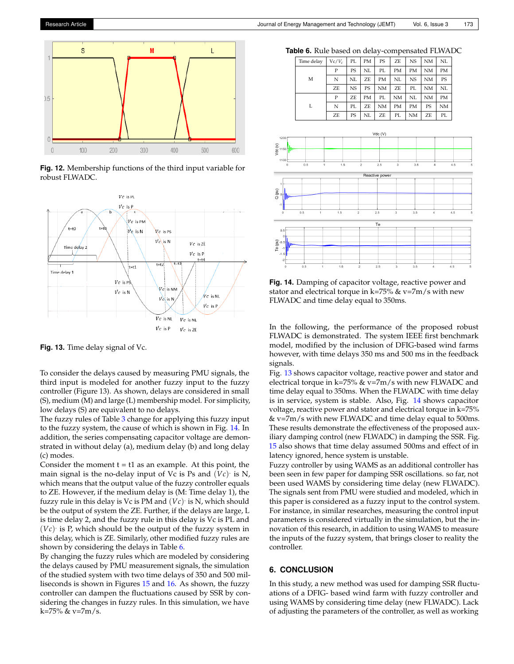<span id="page-7-1"></span>

**Fig. 12.** Membership functions of the third input variable for robust FLWADC.

<span id="page-7-4"></span>

**Fig. 13.** Time delay signal of Vc.

To consider the delays caused by measuring PMU signals, the third input is modeled for another fuzzy input to the fuzzy controller (Figure 13). As shown, delays are considered in small (S), medium (M) and large (L) membership model. For simplicity, low delays (S) are equivalent to no delays.

The fuzzy rules of Table [3](#page-6-1) change for applying this fuzzy input to the fuzzy system, the cause of which is shown in Fig. [14.](#page-7-2) In addition, the series compensating capacitor voltage are demonstrated in without delay (a), medium delay (b) and long delay (c) modes.

Consider the moment  $t = t1$  as an example. At this point, the main signal is the no-delay input of  $Vc$  is Ps and  $\overline{(Vc)}$  is N, which means that the output value of the fuzzy controller equals to ZE. However, if the medium delay is (M: Time delay 1), the fuzzy rule in this delay is Vc is PM and  $(Vc)$  is N, which should be the output of system the ZE. Further, if the delays are large, L is time delay 2, and the fuzzy rule in this delay is Vc is PL and (*Vc*) . is P, which should be the output of the fuzzy system in this delay, which is ZE. Similarly, other modified fuzzy rules are shown by considering the delays in Table [6.](#page-7-3)

By changing the fuzzy rules which are modeled by considering the delays caused by PMU measurement signals, the simulation of the studied system with two time delays of 350 and 500 milliseconds is shown in Figures [15](#page-8-15) and [16.](#page-8-16) As shown, the fuzzy controller can dampen the fluctuations caused by SSR by considering the changes in fuzzy rules. In this simulation, we have k=75% & v=7m/s.

<span id="page-7-3"></span>**Table 6.** Rule based on delay-compensated FLWADC

|  | Time delay | $Vc/V_c$ | PL        | PМ | PS        | ZE        | <b>NS</b> | NΜ        | NL        |
|--|------------|----------|-----------|----|-----------|-----------|-----------|-----------|-----------|
|  |            | P        | PS        | NL | PL.       | PМ        | <b>PM</b> | NM        | <b>PM</b> |
|  | M          | N        | NL        | ZE | <b>PM</b> | NL        | <b>NS</b> | <b>NM</b> | PS        |
|  |            | ZE       | <b>NS</b> | PS | <b>NM</b> | ZE        | PL.       | <b>NM</b> | NL        |
|  |            | P        | ZF.       | PM | PL.       | NΜ        | NL        | NM        | PМ        |
|  | L          | N        | PL.       | ZE | <b>NM</b> | <b>PM</b> | <b>PM</b> | PS        | NΜ        |
|  |            | ZE       | PS        | NL | ZE        | PL        | <b>NM</b> | ZE        | PL        |

<span id="page-7-2"></span>

**Fig. 14.** Damping of capacitor voltage, reactive power and stator and electrical torque in k=75%  $&$  v=7m/s with new FLWADC and time delay equal to 350ms.

In the following, the performance of the proposed robust FLWADC is demonstrated. The system IEEE first benchmark model, modified by the inclusion of DFIG-based wind farms however, with time delays 350 ms and 500 ms in the feedback signals.

Fig. [13](#page-7-4) shows capacitor voltage, reactive power and stator and electrical torque in k=75%  $&$  v=7m/s with new FLWADC and time delay equal to 350ms. When the FLWADC with time delay is in service, system is stable. Also, Fig. [14](#page-7-2) shows capacitor voltage, reactive power and stator and electrical torque in k=75% & v=7m/s with new FLWADC and time delay equal to 500ms. These results demonstrate the effectiveness of the proposed auxiliary damping control (new FLWADC) in damping the SSR. Fig. [15](#page-8-15) also shows that time delay assumed 500ms and effect of in latency ignored, hence system is unstable.

Fuzzy controller by using WAMS as an additional controller has been seen in few paper for damping SSR oscillations. so far, not been used WAMS by considering time delay (new FLWADC). The signals sent from PMU were studied and modeled, which in this paper is considered as a fuzzy input to the control system. For instance, in similar researches, measuring the control input parameters is considered virtually in the simulation, but the innovation of this research, in addition to using WAMS to measure the inputs of the fuzzy system, that brings closer to reality the controller.

## <span id="page-7-0"></span>**6. CONCLUSION**

In this study, a new method was used for damping SSR fluctuations of a DFIG- based wind farm with fuzzy controller and using WAMS by considering time delay (new FLWADC). Lack of adjusting the parameters of the controller, as well as working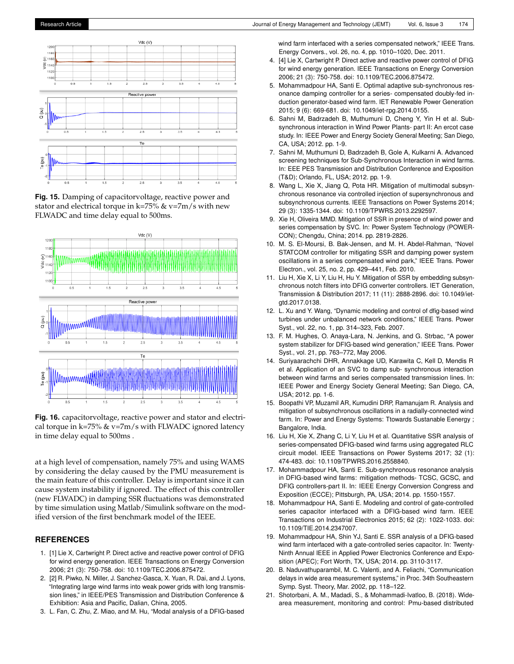<span id="page-8-15"></span>

**Fig. 15.** Damping of capacitorvoltage, reactive power and stator and electrical torque in k=75%  $&$  v=7m/s with new FLWADC and time delay equal to 500ms.

<span id="page-8-16"></span>

**Fig. 16.** capacitorvoltage, reactive power and stator and electrical torque in k=75%  $\&$  v=7m/s with FLWADC ignored latency in time delay equal to 500ms .

at a high level of compensation, namely 75% and using WAMS by considering the delay caused by the PMU measurement is the main feature of this controller. Delay is important since it can cause system instability if ignored. The effect of this controller (new FLWADC) in damping SSR fluctuations was demonstrated by time simulation using Matlab/Simulink software on the modified version of the first benchmark model of the IEEE.

## **REFERENCES**

- <span id="page-8-0"></span>1. [1] Lie X, Cartwright P. Direct active and reactive power control of DFIG for wind energy generation. IEEE Transactions on Energy Conversion 2006; 21 (3): 750-758. doi: 10.1109/TEC.2006.875472.
- <span id="page-8-1"></span>2. [2] R. Piwko, N. Miller, J. Sanchez-Gasca, X. Yuan, R. Dai, and J. Lyons, "Integrating large wind farms into weak power grids with long transmission lines," in IEEE/PES Transmission and Distribution Conference & Exhibition: Asia and Pacific, Dalian, China, 2005.
- <span id="page-8-2"></span>3. L. Fan, C. Zhu, Z. Miao, and M. Hu, "Modal analysis of a DFIG-based

wind farm interfaced with a series compensated network," IEEE Trans. Energy Convers., vol. 26, no. 4, pp. 1010–1020, Dec. 2011.

- <span id="page-8-4"></span>4. [4] Lie X, Cartwright P. Direct active and reactive power control of DFIG for wind energy generation. IEEE Transactions on Energy Conversion 2006; 21 (3): 750-758. doi: 10.1109/TEC.2006.875472.
- 5. Mohammadpour HA, Santi E. Optimal adaptive sub-synchronous resonance damping controller for a series- compensated doubly-fed induction generator-based wind farm. IET Renewable Power Generation 2015; 9 (6): 669-681. doi: 10.1049/iet-rpg.2014.0155.
- Sahni M, Badrzadeh B, Muthumuni D, Cheng Y, Yin H et al. Subsynchronous interaction in Wind Power Plants- part II: An ercot case study. In: IEEE Power and Energy Society General Meeting; San Diego, CA, USA; 2012. pp. 1-9.
- 7. Sahni M, Muthumuni D, Badrzadeh B, Gole A, Kulkarni A. Advanced screening techniques for Sub-Synchronous Interaction in wind farms. In: EEE PES Transmission and Distribution Conference and Exposition (T&D); Orlando, FL, USA; 2012. pp. 1-9.
- 8. Wang L, Xie X, Jiang Q, Pota HR. Mitigation of multimodal subsynchronous resonance via controlled injection of supersynchronous and subsynchronous currents. IEEE Transactions on Power Systems 2014; 29 (3): 1335-1344. doi: 10.1109/TPWRS.2013.2292597.
- <span id="page-8-3"></span>9. Xie H, Oliveira MMD. Mitigation of SSR in presence of wind power and series compensation by SVC. In: Power System Technology (POWER-CON); Chengdu, China; 2014. pp. 2819-2826.
- <span id="page-8-11"></span>10. M. S. El-Moursi, B. Bak-Jensen, and M. H. Abdel-Rahman, "Novel STATCOM controller for mitigating SSR and damping power system oscillations in a series compensated wind park," IEEE Trans. Power Electron., vol. 25, no. 2, pp. 429–441, Feb. 2010.
- <span id="page-8-9"></span>11. Liu H, Xie X, Li Y, Liu H, Hu Y. Mitigation of SSR by embedding subsynchronous notch filters into DFIG converter controllers. IET Generation, Transmission & Distribution 2017; 11 (11): 2888-2896. doi: 10.1049/ietgtd.2017.0138.
- <span id="page-8-10"></span>12. L. Xu and Y. Wang, "Dynamic modeling and control of dfig-based wind turbines under unbalanced network conditions," IEEE Trans. Power Syst., vol. 22, no. 1, pp. 314–323, Feb. 2007.
- 13. F. M. Hughes, O. Anaya-Lara, N. Jenkins, and G. Strbac, "A power system stabilizer for DFIG-based wind generation," IEEE Trans. Power Syst., vol. 21, pp. 763–772, May 2006.
- <span id="page-8-8"></span>14. Suriyaarachchi DHR, Annakkage UD, Karawita C, Kell D, Mendis R et al. Application of an SVC to damp sub- synchronous interaction between wind farms and series compensated transmission lines. In: IEEE Power and Energy Society General Meeting; San Diego, CA, USA; 2012. pp. 1-6.
- <span id="page-8-13"></span>15. Boopathi VP, Muzamil AR, Kumudini DRP, Ramanujam R. Analysis and mitigation of subsynchronous oscillations in a radially-connected wind farm. In: Power and Energy Systems: Ttowards Sustanable Eenergy ; Bangalore, India.
- 16. Liu H, Xie X, Zhang C, Li Y, Liu H et al. Quantitative SSR analysis of series-compensated DFIG-based wind farms using aggregated RLC circuit model. IEEE Transactions on Power Systems 2017; 32 (1): 474-483. doi: 10.1109/TPWRS.2016.2558840.
- <span id="page-8-14"></span>17. Mohammadpour HA, Santi E. Sub-synchronous resonance analysis in DFIG-based wind farms: mitigation methods- TCSC, GCSC, and DFIG controllers-part II. In: IEEE Energy Conversion Congress and Exposition (ECCE); Pittsburgh, PA, USA; 2014. pp. 1550-1557.
- <span id="page-8-12"></span>18. Mohammadpour HA, Santi E. Modeling and control of gate-controlled series capacitor interfaced with a DFIG-based wind farm. IEEE Transactions on Industrial Electronics 2015; 62 (2): 1022-1033. doi: 10.1109/TIE.2014.2347007.
- <span id="page-8-5"></span>19. Mohammadpour HA, Shin YJ, Santi E. SSR analysis of a DFIG-based wind farm interfaced with a gate-controlled series capacitor. In: Twenty-Ninth Annual IEEE in Applied Power Electronics Conference and Exposition (APEC); Fort Worth, TX, USA; 2014. pp. 3110-3117.
- <span id="page-8-6"></span>20. B. Naduvathuparambil, M. C. Valenti, and A. Feliachi, "Communication delays in wide area measurement systems," in Proc. 34th Southeastern Symp. Syst. Theory, Mar. 2002, pp. 118–122.
- <span id="page-8-7"></span>21. Shotorbani, A. M., Madadi, S., & Mohammadi-Ivatloo, B. (2018). Widearea measurement, monitoring and control: Pmu-based distributed